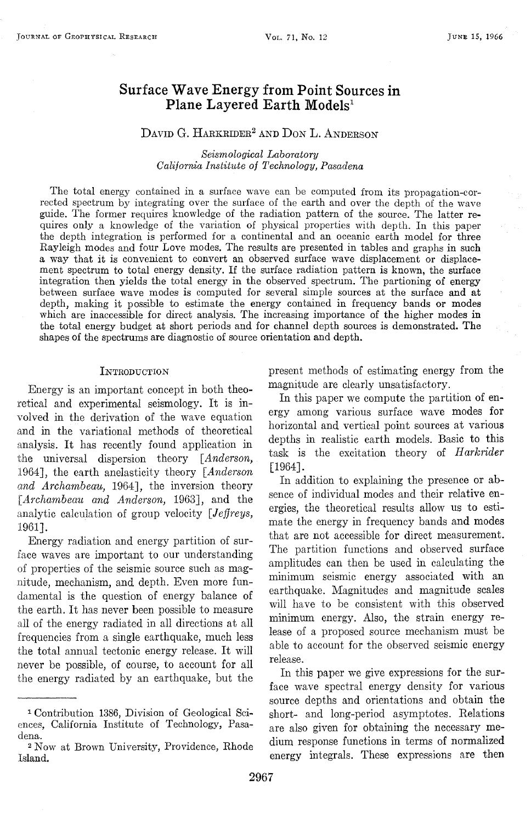# **Surface Wave Energy from Point Sources in Plane Layered Earth Models<sup>1</sup>**

## DAVID G. HARKRIDER<sup>2</sup> AND DON L. ANDERSON

#### *Seismological Laboratory California Institute of Technology, Pasadena*

The total energy contained in a surface wave can be computed from its propagation-corrected spectrum by integrating over the surface of the earth and over the depth of the wave guide. The former requires knowledge of the radiation pattern of the source. The latter requires only a knowledge of the variation of physical properties with depth. In this paper the depth integration is performed for a continental and an oceanic earth model for three Rayleigh modes and four Love modes. The results are presented in tables and graphs in such a way that it is convenient to convert an observed surface wave displacement or displacement spectrum to total energy density. If the surface radiation pattern is known, the surface integration then yields the total energy in the observed spectrum. The partioning of energy between surface wave modes is computed for several simple sources at the surface and at depth, making it possible to estimate the energy contained in frequency bands or modes which are inaccessible for direct analysis. The increasing importance of the higher modes in the total energy budget at short periods and for channel depth sources is demonstrated. The shapes of the spectrums are diagnostic of source orientation and depth.

#### **INTRODUCTION**

Energy is an important concept in both theoretical and experimental seismology. It is involved in the derivation of the wave equation and in the variational methods of theoretical analysis. It has recently found application in the universal dispersion theory *[Anderson,*  1964], the earth anelasticity theory *[Anderson and Archambeau,* 1964], the inversion theory *[Archambeau and Anderson,* 1963], and the analytic calculation of group velocity *[Jeffreys,*  1961].

Energy radiation and energy partition of surface waves are important to our understanding of properties of the seismic source such as magnitude, mechanism, and depth. Even more fundamental is the question of energy balance of the earth. It has never been possible to measure all of the energy radiated in all directions at all frequencies from a single earthquake, much less the total annual tectonic energy release. It will never be possible, of course, to account for all the energy radiated by an earthquake, but the present methods of estimating energy from the magnitude are clearly unsatisfactory.

In this paper we compute the partition of energy among various surface wave modes for horizontal and vertical point sources at various depths in realistic earth models. Basic to this task is the excitation theory of *Harkrider*  [1964].

In addition to explaining the presence or absence of individual modes and their relative energies, the theoretical results allow us to estimate the energy in frequency bands and modes that are not accessible for direct measurement. The partition functions and observed surface amplitudes can then be used in calculating the minimum seismic energy associated with an earthquake. Magnitudes and magnitude scales will have to be consistent with this observed minimum energy. Also, the strain energy release of a proposed source mechanism must be able to account for the observed seismic energy release.

In this paper we give expressions for the surface wave spectral energy density for various source depths and orientations and obtain the short- and long-period asymptotes. Relations are also given for obtaining the necessary medium response functions in terms of normalized energy integrals. These expressions are then

<sup>1</sup> Contribution 1386, Division of Geological Sciences, California Institute of Technology, Pasadena.

<sup>2</sup> Now at Brown University, Providence, Rhode Island.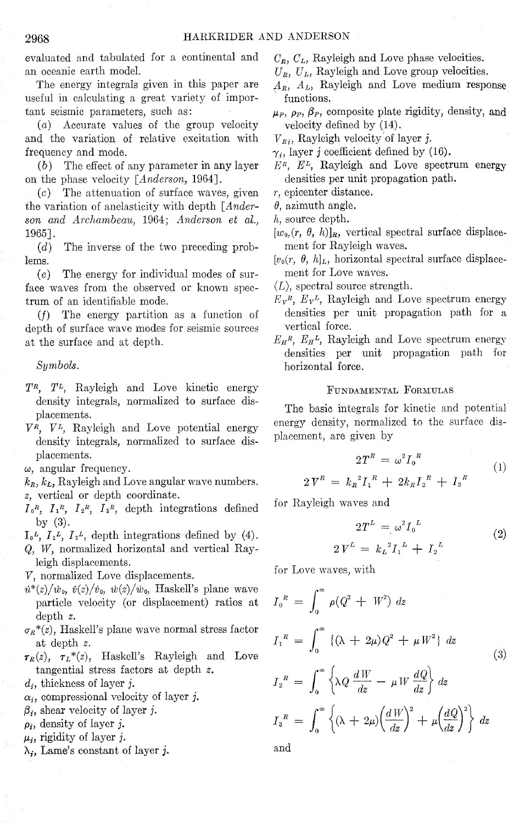evaluated and tabulated for a continental and an oceanic earth model.

The energy integrals given in this paper are useful in calculating a great variety of important seismic parameters, such as:

(a) Accurate values of the group velocity and the variation of relative excitation with frequency and mode.

(b) The effect of any parameter in any layer on the phase velocity *[A.nderson,* 1964].

(c) The attenuation of surface waves, given the variation of anelasticity with depth *[Anderson and Archambeait,* 1964; *Anderson et al.,*  1965].

(d) The inverse of the two preceding problems.

 $(e)$  The energy for individual modes of surface waves from the observed or known spectrum of an identifiable mode.

(f) The energy partition as a function of depth of surface wave modes for seismic sources at the surface and at depth.

*Symbols.* 

- *TR, TL,* Rayleigh and Love kinetic energy density integrals, normalized to surface displacements.
- *VR, VL,* Rayleigh and Love potential energy density integrals, normalized to surface displacements.

*w,* angular frequency.

- $k_R$ ,  $k_L$ , Rayleigh and Love angular wave numbers. *z,* vertical or depth coordinate.
- $I_0^R$ ,  $I_1^R$ ,  $I_2^R$ ,  $I_3^R$ , depth integrations defined by (3).

 $I_0^L$ ,  $I_1^L$ ,  $I_2^L$ , depth integrations defined by (4).

Q, W, normalized horizontal and vertical Rayleigh displacements.

V, normalized Love displacements.

- $\dot{u}^*(z)/\dot{w}_0$ ,  $\dot{v}(z)/\dot{v}_0$ ,  $\dot{w}(z)/\dot{w}_0$ , Haskell's plane wave particle velocity (or displacement) ratios at depth *z.*
- $\sigma_R^*(z)$ , Haskell's plane wave normal stress factor at depth *z.*

 $\tau_R(z)$ ,  $\tau_L^*(z)$ , Haskell's Rayleigh and Love tangential stress factors at depth *z.* 

- *d;,* thickness of layer j.
- $\alpha_i$ , compressional velocity of layer j.
- $\beta_i$ , shear velocity of layer j.
- *p;,* density of layer j.
- $\mu_i$ , rigidity of layer j.
- $\lambda_i$ , Lame's constant of layer j.

*CR, CL,* Rayleigh and Love phase velocities.

- $U_R$ ,  $U_L$ , Rayleigh and Love group velocities.
- *flR,* AL, Rayleigh and Love medium response functions.
- $\mu_{P}$ ,  $\rho_{P}$ ,  $\beta_{P}$ , composite plate rigidity, density, and velocity defined by (14).
- $V_{B_i}$ , Rayleigh velocity of layer j.
- $\gamma_i$ , layer j coefficient defined by (16).
- $E<sup>R</sup>$ ,  $E<sup>L</sup>$ , Rayleigh and Love spectrum energy densities per unit propagation path.
- *r,* epicenter distance.
- $\theta$ , azimuth angle.
- h, source depth.
- $[w_0(r, \theta, h)]_R$ , vertical spectral surface displacement for Rayleigh waves.
- $[v_0(r, \theta, h]_L$ , horizontal spectral surface displacement for Love waves.

 $\langle L \rangle$ , spectral source strength.

- $E_{\mathbf{v}}^R$ ,  $E_{\mathbf{v}}^L$ , Rayleigh and Love spectrum energy densities per unit propagation path for a vertical force.
- $E_{H}^{R}$ ,  $E_{H}^{L}$ , Rayleigh and Love spectrum energy densities per unit propagation path for horizontal force.

### FUNDAMENTAL FORMULAS

The basic integrals for kinetic and potential energy density, normalized to the surface displacement, are given by

$$
2T^{R} = \omega^{2} I_{0}^{R}
$$
  
\n
$$
2V^{R} = k_{R}^{2} I_{1}^{R} + 2k_{R} I_{2}^{R} + I_{3}^{R}
$$
 (1)

for Rayleigh waves and

$$
2T^{L} = \omega^{2} I_{0}^{L}
$$
  
\n
$$
2V^{L} = k_{L}^{2} I_{1}^{L} + I_{2}^{L}
$$
\n(2)

for Love waves, with

$$
I_0^R = \int_0^\infty \rho (Q^2 + W^2) dz
$$
  
\n
$$
I_1^R = \int_0^\infty \{ (\lambda + 2\mu) Q^2 + \mu W^2 \} dz
$$
  
\n
$$
I_2^R = \int_0^\infty \left\{ \lambda Q \frac{dW}{dz} - \mu W \frac{dQ}{dz} \right\} dz
$$
  
\n
$$
I_3^R = \int_0^\infty \left\{ (\lambda + 2\mu) \left( \frac{dW}{dz} \right)^2 + \mu \left( \frac{dQ}{dz} \right)^2 \right\} dz
$$

and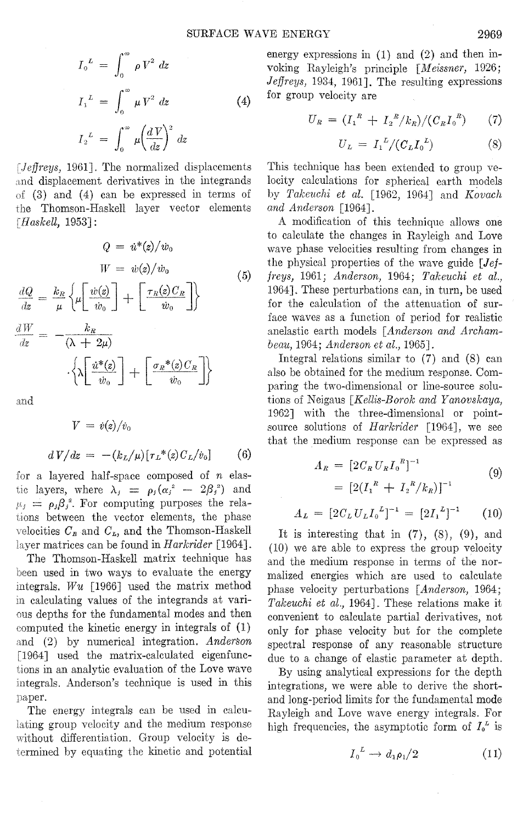$$
I_0^L = \int_0^\infty \rho V^2 dz
$$
  
\n
$$
I_1^L = \int_0^\infty \mu V^2 dz
$$
\n
$$
I_2^L = \int_0^\infty \mu \left(\frac{dV}{dz}\right)^2 dz
$$
\n(4)

*!Jeffreys,* 1961]. The normalized displacements and displacement derivatives in the integrands of {3) and (4) can be expressed in terms of the Thomson-Haskell layer vector elements *[Haskell,* 1953] :

$$
Q = \dot{u}^*(z)/\dot{w}_0
$$
  
\n
$$
W = \dot{w}(z)/\dot{w}_0
$$
(5)  
\n
$$
\frac{dQ}{dz} = \frac{k_R}{\mu} \left\{ \mu \left[ \frac{\dot{w}(z)}{\dot{w}_0} \right] + \left[ \frac{\tau_R(z)C_R}{\dot{w}_0} \right] \right\}
$$
  
\n
$$
\frac{dW}{dz} = -\frac{k_R}{(\lambda + 2\mu)}
$$
  
\n
$$
\cdot \left\{ \lambda \left[ \frac{\dot{u}^*(z)}{\dot{w}_0} \right] + \left[ \frac{\sigma_R^*(z)C_R}{\dot{w}_0} \right] \right\}
$$

and

$$
V = \dot{v}(z)/\dot{v}_0
$$
  

$$
dV/dz = -(k_L/\mu)[\tau_L^*(z)C_L/\dot{v}_0]
$$
 (6)

for a layered half-space composed of *n* elastic layers, where  $\lambda_i = \rho_i (\alpha_i^2 - 2\beta_i^2)$  and  $\mu_i = \rho_i \beta_i^2$ . For computing purposes the relations between the vector elements, the phase velocities  $C_n$  and  $C_n$ , and the Thomson-Haskell matrices can be found in *Harkrider* [1964].

The Thomson-Haskell matrix technique has been used in two ways to evaluate the energy integrals. *Wu* [1966] used the matrix method calculating values of the integrands at various depths for the fundamental modes and then computed the kinetic energy in integrals of and (2) by numerical integration. *Anderson*  [1964] used the matrix-calculated eigenfunctions in an analytic evaluation of the Love wave integrals. Anderson's technique is used in this paper.

The energy integrals can be used in calculating group velocity and the medium response without differentiation. Group velocity is determined by equating the kinetic and potential energy expressions in (1) and (2) and then invoking Rayleigh's principle *[Meissner,* 1926; *Jeffreys,* 1934, 1961]. The resulting expressions for group velocity are

$$
U_R = (I_1^R + I_2^R/k_R)/(C_R I_0^R) \qquad (7)
$$

$$
U_L = I_1^L / (C_L I_0^L) \tag{8}
$$

This technique has been extended to group velocity calculations for spherical earth models by *Takeuchi et al.* [1962, 1964] and *Kovach and Anderson* [1964].

A modification of this technique allows one to calculate the changes in Rayleigh and Love wave phase velocities resulting from changes in the physical properties of the wave guide *[Jeffreys,* 1961; *Anderson,* 1964; *Takeuchi et al.,*  1964]. These perturbations can, in turn, be used for the calculation of the attenuation of surface waves as a function of period for realistic anelastic earth models *[Anderson and Archam-*1964; *Anderson et al.,* 1965].

Integral relations similar to (7) and (8) can also be obtained for the medium response. Comparing the two-dimensional or line-source solutions of Neigaus *[Kellis-Borok and Yanovskaya,*  1962] with the three-dimensional or pointsource solutions of *Harkrider* [1964], we see that the medium response can be expressed as

$$
A_R = [2C_R U_R I_0^R]^{-1}
$$
  
=  $[2(I_1^R + I_2^R/k_R)]^{-1}$  (9)

$$
A_L = [2C_L U_L I_0^L]^{-1} = [2I_1^L]^{-1} \qquad (10)
$$

It is interesting that in  $(7)$ ,  $(8)$ ,  $(9)$ , and (10) we are able to express the group velocity and the medium response in terms of the normalized energies which are used to calculate phase velocity perturbations *[Anderson,* 1964; *Takeuchi et al.,* 1964]. These relations make it convenient to calculate partial derivatives, not only for phase velocity but for the complete spectral response of any reasonable structure due to a change of elastic parameter at depth.

By using analytical expressions for the depth integrations, we were able to derive the shortand long-period limits for the fundamental mode Rayleigh and Love wave energy integrals. For high frequencies, the asymptotic form of  $I_o^L$  is

$$
I_0^L \to d_1 \rho_1/2 \tag{11}
$$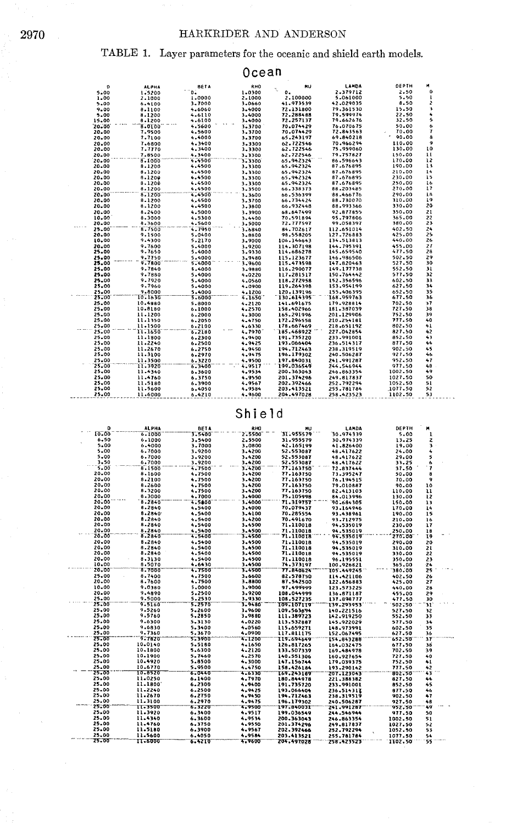## HARKRIDER AND ANDERSON

# TABLE 1. Layer parameters for the oceanic and shield earth models.

| Ocean |                |                    |                  |                  |                          |                          |                  |                     |  |  |  |
|-------|----------------|--------------------|------------------|------------------|--------------------------|--------------------------|------------------|---------------------|--|--|--|
|       | D              | <b>ALPHA</b>       | <b>BETA</b>      | RHO              | ĦU                       | LAMDA                    | DEPTH            | M                   |  |  |  |
|       | 5.00           | 1.5200             | ö.               | 1.0300           | ٩.<br>$\mathbf{0}$       | 2.379712                 | 2.50             | 0                   |  |  |  |
|       | 1.00           | 2.1000             | 1,0000           | 2.1000           | 2.100000                 | 5.061000                 | 5.50             | $\mathbf{I}$        |  |  |  |
|       | 5.00           | 6.4100             | 3.7000           | 3,0660           | 41.973539                | 42.029035                | 8.50             | z                   |  |  |  |
|       | 9.00           | 8.1100             | 4,6060           | 3.4000           | 72.131800                | 79.361530                | 15.50            | 3                   |  |  |  |
|       | 5.00           | 8.1200             | 4.6110           | 3.4000           | 72.288468                | 79.599974                | 22.50            | 4                   |  |  |  |
|       | 15.00          | 8.1200             | 4.6100           | 3.4000           | 72.257137                | 79.662676                | 32,50            | 5                   |  |  |  |
|       | 20.00          | 8.0100             | 4.5600           | 3.3700           | 70.074429                | 76.070675                | 50.00            | 6                   |  |  |  |
|       | 20.00          | 7.9500             | 4.5600           | 3.3700           | 70.074429                | 72.843563                | 70.00            | 7                   |  |  |  |
|       | 20.00          | 7.7100             | 4.4000           | 3.3700           | 65.243197                | 69.840218                | 90.00            | 8                   |  |  |  |
|       | 20.00          | 7.6800             | 4.3400           | 3.3300           | 62.722546                | 70.966294                | 110.00           | 9                   |  |  |  |
|       | 20.00          | 7.7770             | 4.3400           | 3,3300           | 62.722546                | 75,959060                | 130.00           | 10                  |  |  |  |
|       | 20.00          | 7.8500             | 4.3400           | 3,3300           | 62.722546                | 79,757827                | 150.00           | $\mathbf{11}$<br>12 |  |  |  |
|       | 20.00          | 8.1000             | 4.4500           | 3.3300           | 65.942324                | 86.596643                | 170.00<br>190.00 | 13                  |  |  |  |
|       | 20.00          | 8.1200             | 4.4500           | 3.3300           | 65.942324                | 87.676895                | 210.00           | 14                  |  |  |  |
|       | 20.00<br>20.00 | 8.1200<br>8.1200   | 4.4500<br>4.4500 | 3.3300<br>3.3300 | 65.942324<br>65.942324   | 87.676895<br>87.676895   | 230.00           | 15                  |  |  |  |
|       | 20.00          | 8.1200             | 4.4500           | 3.3300           | 65.942324                | 87.676895                | 250.00           | 16                  |  |  |  |
|       | 20.00          | 8.1200             | 4,4500           | 3.3500           | 66.338373                | 88.203485                | 270.00           | 17                  |  |  |  |
|       | 20.00          | 8.1200             | 4.4500           | 3.3600           | 66.536399                | 88.466776                | 290.00           | 18                  |  |  |  |
|       | 20.00          | 8.1200             | 4.4500           | 3.3700           | 66.734424                | 88.730070                | 310,00           | 19                  |  |  |  |
|       | 20.00          | 8.1200             | 4.4500           | 3.3800           | 66.932448                | 88.993366                | 330.00           | 20                  |  |  |  |
|       | 20.00          | 8.2400             | 4.5000           | 3.3900           | 66.647499                | 92.877855                | 350,00           | 21                  |  |  |  |
|       | 10.00          | 8.3000             | 4.5300           | 3.4400           | 70.591894                | 95.797806                | 365.00           | 22                  |  |  |  |
|       | 20.00          | 8.3600             | 4.5600           | 3.5000           | 72.777597                | 99.058397                | 380.00           | 23                  |  |  |  |
|       | 25.00          | 8.7500             | 4.7950           | 3.6840           | 84.702617                | 112.651014               | 402.50           | 24                  |  |  |  |
|       | 20.00          | 9.1500             | 5.0400           | 3.8800           | 98.558205                | 127.726883               | 425.00           | 25                  |  |  |  |
|       | 10.00          | 9.4300             | 5.2170           | 3.9000           | 106.146643               | 134.513813               | 440.00           | 26                  |  |  |  |
|       | 20.00          | 9.7600             | 5.4000           | 3,9200           | 114.307198               | 144.795391               | 455.00           | 21                  |  |  |  |
|       | 25.00          | 9.7650             | 5.4000           | 3.9330           | 114.686278               | 145.659540               | 477.50           | 28                  |  |  |  |
|       | 25.00          | 9.7750             | 5.4000           | 3.9480           | 115.123677               | 146.986506               | 502.50           | 29                  |  |  |  |
|       | 25.00          | 9.7800             | 5.4000           | 3.9600           | 115.473598               | 147.820463               | 527.50           | 30                  |  |  |  |
|       | 25.00          | 9.7840             | 5.4000           | 3,9880           | 116,290077               | 149.177738               | 552.50           | 31                  |  |  |  |
|       | 25.00          | 9.7880             | 5.4000           | 4.0220           | 117.281517               | 150.764442               | 577.50           | 32                  |  |  |  |
|       | 25.00          | 9.7920             | 5.4000           | 4.0560           | 118.272958               | 152.356596               | 602.50           | 33                  |  |  |  |
|       | 25.00          | 9.7960             | 5.4000           | 4.0900           | 119.264398               | 153.954199               | 627.50           | 34                  |  |  |  |
|       | 25.00          | 9.8000             | 5.4000           | 4.1200           | 120.139196               | 155.406395               | 652.50           | 35                  |  |  |  |
|       | 25.00          | 10.1630            | 5.6000           | 4.1650           | 130.614395               | 168.959763               | 677.50           | 36                  |  |  |  |
|       | 25.00          | 10.4880            | 5.8000           | 4.2120           | 141.691675               | 179.928814               | 702.50           | 37                  |  |  |  |
|       | 25.00          | 10.8180            | 6.1000           | 4.2570           | 158.402966               | 181.387039               | 727.50           | 38<br>39            |  |  |  |
|       | 25.00<br>25.00 | 11,1200<br>11.1350 | 6.2000           | 4.3000           | 165,291996<br>172.296558 | 201.129906               | 752.50<br>777.50 | 40                  |  |  |  |
|       | 25.00          | 11.1500            | 6.2050<br>6.2100 | 4.4750<br>4.6330 | 178.667469               | 210.254181<br>218.651192 | 802.50           | 41                  |  |  |  |
|       | 25.00          | 11.1650            | 6.2180           | 4.7970           | 185.468922               | 227.042854               | 827.50           | 42                  |  |  |  |
|       | 25.00          | 11.1800            | 6.2300           | 4.9400           | 191.735720               | 233,991001               | 852.50           | 43                  |  |  |  |
|       | 25.00          | 11.2240            | 6.2500           | 4.9425           | 193.066404               | 236.514317               | 877.50           | 44                  |  |  |  |
|       | 25.00          | 11-2670            | 6.2750           | 4,9450           | 194.712463               | 238.319519               | 902.50           | 45                  |  |  |  |
|       | 25.00          | 11.3100            | 6.2970           | 4.9475           | 196.179302               | 240.506287               | 927,50           | 46                  |  |  |  |
|       | 25.00          | 11.3500            | 6.3220           | 4.9500           | 197.840031               | 241.991287               | 952.50           | 47                  |  |  |  |
|       | 25.00          | 11,3920            | 6.3400           | 4.9517           | 199.036549               | 244.546944               | 977.50           | 48                  |  |  |  |
|       | 25.00          | 11.4340            | 6.3600           | 4.9534           | 200.363043               | 246.863354               | 1002.50          | 49                  |  |  |  |
|       | 25.00          | 11.4760            | 6.3750           | 4.9550           | 201.374296               | 249.817837               | 1027.50          | 50                  |  |  |  |
|       | 25.00          | 11.5180            | 6.3900           | 4,9567           | 202.392466               | 252.792294               | 1052.50          | 51                  |  |  |  |
|       | 25,00          | 11.5600            | 6.4050           | 4.9584           | 203.413521               | 255.781784               | 1077.50          | 52                  |  |  |  |
|       | 25.00          | 11,6000            | 6.4210           | 4.9600           | 204.497028               | 258.423523               | 1102.50          | 53                  |  |  |  |
|       |                |                    |                  |                  |                          |                          |                  |                     |  |  |  |

Shield

| D     | <b>ALPHA</b> | <b>BETA</b> | RHO            | MU                     | LAMDA      | DEPTH            | ×        |  |
|-------|--------------|-------------|----------------|------------------------|------------|------------------|----------|--|
| 10.00 | 6.1000       | 3.5400      | 2.5500         | 31.955579              | 30.974339  | 5.00             | 1        |  |
| 6.50  | 6.1000       | 3.5400      | 2.5500         | 31.955579              | 30.974339  | 13.25            | 2        |  |
| 5.00  | 6.4000       | 3.7000      | 3.0800         | 42.165199              | 41.826400  | 19.00            | 3        |  |
| 5.00  | 6.7000       | 3.9200      | 3.4200         | 52.553087              | 48.417622  | 24.00            | 4        |  |
| 5.00  | 6.7000       | 3.9200      | 3.4200         | 52.553087              | 48.417622  | 29.00            | 5        |  |
| 3.50  | 6,7000       | 3.9200      | 3.4200         | 52.553087              | 48.417622  | 33.25            | 6        |  |
| 5.00  | 8.1500       | 4.7500      | 3.4200         | 77.163750              | 72.837444  | 37.50            | 1        |  |
| 20.00 | 8,1600       | 4.7500      | 3.4200         | 77.163750              | 73.395247  | 50.00            | 8        |  |
| 20.00 | 8.2100       | 4.7500      | 3.4200         | 77.163750              | 76.194515  | 70.00            | 9        |  |
| 20,00 | 8.2600       | 4.7500      | 3.4200         | 77.163750              | 79.010887  | 90.00            | 10       |  |
| 20.00 | 8.3200       | 4.7500      | 3.4200         | 77.163750              | 82.413103  | 110.00           | u        |  |
| 20.00 | 8.3000       | 4,7000      | 3.4000         |                        |            |                  |          |  |
| 20.00 | 8.2840       | 4.5600      |                | 75.105998<br>71.319757 | 84.013996  | 130.00           | 12       |  |
| 20.00 | 6.2840       | 4.5400      | 3,4000         |                        | 90.684305  | 150.00           | 13       |  |
| 20.00 |              |             | 3,4000         | 70.079437              | 93.164946  | 170.00           | 14       |  |
|       | 8.2840       | 4.5400      | 3.4100         | 70.285554              | 93.438961  | 190.00           | 15       |  |
| 20.00 | 8.2840       | 4.5400      | 3,4200         | 70.491670              | 93.712975  | 210.00           | 16       |  |
| 20.00 | 8.2840       | 4.5400      | 3.4500         | 71.110018              | 94.535019  | 230.00           | 17       |  |
| 20.00 | 8,2840       | 4.5400      | 3.4500         | 71.110018              | 94.535019  | 250.00           | 18       |  |
| 20.00 | 8.2840       | 4.5400      | 3.4500         | 71.110018              | 94.535019  | 270.00           | 19       |  |
| 20.00 | 8.2840       | 4.5400      | 3.4500         | 71.110018              | 94.535019  | 290.00           | 20       |  |
| 20.00 | 8.2840       | 4.5400      | 3,4500         | 71.110018              | 94,535019  | 310.00           | 21       |  |
| 20.00 | 8.2840       | 4.5400      | 3.4500         | 71.110018              | 94.535019  | 330.00           | 22       |  |
| 20.00 | 8.3130       | 4.5400      | 3.4500         | 71.110018              | 96.195551  | 350.00           | 23       |  |
| 10.00 | 8.5070       | 4.6430      | 3.4500         | 74.373197              | 100.926821 | 365.00           | 24       |  |
| 20.00 | 8.7000       | 4.7500      | 3.4500         | 77.840624              | 105.449245 | 380.00           | 25       |  |
| 25.00 | 8.7400       | 4.7500      | 3.6600         | 82.578750              | 114.421106 | 402.50           | 26       |  |
| 20,00 | 8.7600       | 4.7500      | 3,8800         | 87.542500              | 122.656883 | 425.00           | 27       |  |
| 10.00 | 9.0380       | 5.0000      | 3.9000         | 97.499999              | 123.573225 | 440.00           | 28       |  |
| 20.00 | 9.4890       | 5,2500      | 3.9200         | 108.044999             | 136.871187 | 455.00           | 29       |  |
| 25.00 | 9.5000       | 5.2530      | 3.9330         | 108.527235             | 137.898777 | 477.50           | 30       |  |
| 25.00 | 9.5160       | 5.2570      | 3.9480         | 109.107119             | 139.293953 | 502.50           | 3I       |  |
| 25,00 | 9.5260       | 5,2600      | 3.9600         | 109.563694             | 140.221516 | 527.50           | 32       |  |
| 25,00 | 9,5760       | 5.2850      | 3,9880         | 111.389723             | 142.919250 | 552.50           | 33       |  |
| 25.00 | 9.6300       | 5.3130      | 4.0220         | 113.532887             | 145.922029 | 577.50           | 34       |  |
| 25.00 | 9.6830       | 5.3400      | 4.0560         |                        |            |                  |          |  |
| 25.00 | 9.7360       | 5.3670      | 4.0900         | 115.659271             | 148,973991 | 602.50<br>627.50 | 35<br>36 |  |
| 25.00 | 9.7620       | 5.3900      | 4.1200         | 117.811175             | 152.067495 |                  | 37       |  |
|       |              |             |                | 119.694649             | 154.843288 | 652.50           |          |  |
| 25.00 | 10.0140      | 5,5180      | 4.1650         | 126.817265             | 164.032475 | 677.50           | 38       |  |
| 25.00 | 10.1800      | 5.6300      | 4.2120         | 133.507339             | 169.484978 | 702.50           | 39       |  |
| 25.00 | 10.1900      | 5.7460      | 4.2570         | 140.551306             | 160.927654 | 727.50           | 40       |  |
| 25.00 | 10.4920      | 5.8500      | 4.3000         | 147.156744             | 179.039375 | 752.50           | 41       |  |
| 25.00 | 10.6770      | 5.9500      | 4.4750         | 158.426184             | 193.290142 | 777.50           | 42       |  |
| 25.00 | 10.8520      | 6.0440      | 4.6330         | 169.243189             | 207.123043 | 802.50           | 43       |  |
| 25.00 | 11.0250      | 6.1400      | 4.7970         | 180.844978             | 221,388382 | 827.50           | 44       |  |
| 25.00 | 11.1800      | 6.2300      | 4.9400         | 191.735720             | 233.991001 | 852.50           | 45       |  |
| 25.00 | 11.2240      | 6.2500      | 4.9425         | 193.066404             | 236.514317 | 877.50           | 46       |  |
| 25.00 | 11.2670      | 6.2750      | 4.9450         | 194.712463             | 238.319519 | 902.50           | 47       |  |
| 25.00 | 11.3100      | 6.2970      | 4.9475         | 196.179302             | 240.506287 | 927.50           | 48       |  |
| 25.00 | 11-3500      | 6.3220      | 4.9500         | 197.840031             | 241.991287 | 952.50           | 49       |  |
| 25.00 | 11.3920      | 6.3400      | 4.9517         | 199.036549             | 244.546944 | 977.50           | 50       |  |
| 25.00 | 11.4340      | 6.3600      | 4.9534         | 200.363043             | 246.863354 | 1002.50          | 51       |  |
| 25.00 | 11.4760      | 6.3750      | 4,9550         | 201.374296             | 249.817837 | 1027.50          | 52       |  |
| 25.00 | 11.5180      | 6.3900      | 4.9567         | 202.392466             | 252.792294 | 1052.50          | 53       |  |
| 25.00 | 11,5600      | 6.4050      | 4.9584         | 203.413521             | 255.781784 | 1077.50          | 54       |  |
| 25.00 | התהגדו       | 6. LTIN     | <b>A. 9600</b> | 705.507578             | 758 EJI573 | TINY KN          | κĸ       |  |

2970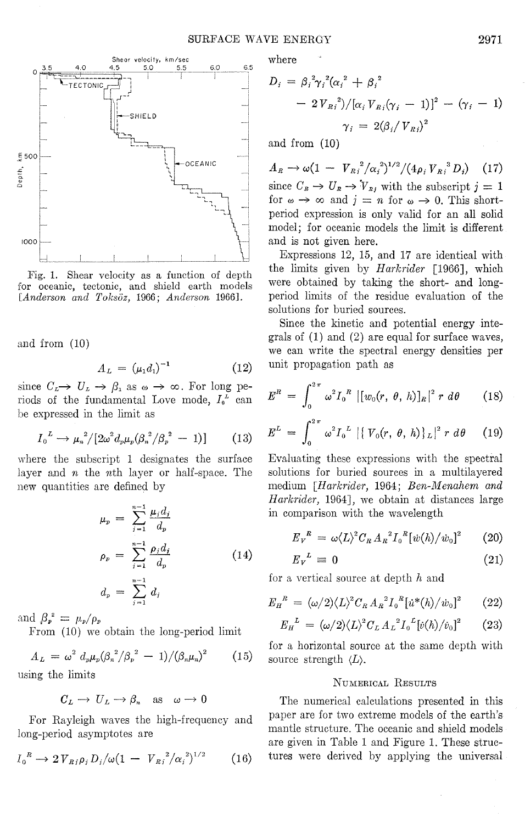

Fig. 1. Shear velocity as a function of depth for oceanic, tectonic, and shield earth models *[Anderson and Toksoz,* 1966; *Anderson* 1966].

and from (10)

lepth, 400<br>Depth,

1000

$$
A_L = \left(\mu_1 d_1\right)^{-1} \tag{12}
$$

since  $C_L \rightarrow U_L \rightarrow \beta_1$  as  $\omega \rightarrow \infty$ . For long periods of the fundamental Love mode,  $I_0^L$  can be expressed in the limit as

$$
I_0^L \to \mu_n^2/[2\omega^2 d_p \mu_p (\beta_n^2/\beta_p^2 - 1)] \qquad (13)
$$

where the subscript 1 designates the surface layer and *n* the nth layer or half-space. The new quantities are defined by

$$
\mu_p = \sum_{j=1}^{n-1} \frac{\mu_j d_j}{d_p}
$$
\n
$$
\rho_p = \sum_{j=1}^{n-1} \frac{\rho_j d_j}{d_p}
$$
\n
$$
d_p = \sum_{j=1}^{n-1} d_j
$$
\n(14)

and  $\beta_p^2 = \mu_p/\rho_p$ 

From (10) we obtain the long-period limit

$$
A_L = \omega^2 d_p \mu_p (\beta_n^2/\beta_p^2 - 1) / (\beta_n \mu_n)^2 \qquad (15)
$$
  
since the limits

using the limits

$$
C_L \longrightarrow U_L \longrightarrow \beta_n \text{ as } \omega \longrightarrow 0
$$

For Rayleigh waves the high-frequency and long-period asymptotes are

$$
I_0^{\ R} \to 2\,V_{Rj}\rho_j D_j/\omega (1 - V_{Rj}^2/\alpha_j^2)^{1/2} \tag{16}
$$

where

$$
D_{i} = \beta_{i}^{2} \gamma_{i}^{2} (\alpha_{i}^{2} + \beta_{i}^{2})
$$
  
- 2V<sub>Ri</sub><sup>2</sup>)/[ $\alpha_{i}$  V<sub>Ri</sub>( $\gamma_{i}$  - 1)]<sup>2</sup> - ( $\gamma_{i}$  - 1)  
 $\gamma_{i}$  = 2( $\beta_{i}$ /V<sub>Ri</sub>)<sup>2</sup>

and from (10)

 $A_R \rightarrow \omega (1 - V_{Ri}^2/\alpha_i^2)^{1/2}/(4\rho_i V_{Ri}^3 D_i)$  (17) since  $C_R \to U_R \to V_{Rj}$  with the subscript  $j = 1$ for  $\omega \to \infty$  and  $j = n$  for  $\omega \to 0$ . This shortperiod expression is only valid for an all solid model; for oceanic models the limit is different and is not given here.

Expressions 12, 15, and 17 are identical with the limits given by *Harkrider* [1966], which were obtained by taking the short- and longperiod limits of the residue evaluation of the solutions for buried sources.

Since the kinetic and potential energy integrals of (1) and (2) are equal for surface waves, we can write the spectral energy densities per unit propagation path as

$$
E^{R} = \int_{0}^{2\pi} \omega^{2} I_{0}^{R} |[w_{0}(r, \theta, h)]_{R}|^{2} r d\theta
$$
 (18)

$$
E^{L} = \int_{0}^{2\pi} \omega^{2} I_{0}^{L} | \{ V_{0}(r, \theta, h) \}_{L} |^{2} r d\theta \qquad (19)
$$

Evaluating these expressions with the spectral solutions for buried sources in a multilayered medium *[Harkrider,* 1964; *Ben-Menahem and Hark rider,* 1964], we obtain at distances large in comparison with the wavelength

$$
E_V^R = \omega \langle L \rangle^2 C_R A_R^2 I_0^R [\dot{w}(h) / \dot{w}_0]^2 \qquad (20)
$$

$$
E_V^L \equiv 0 \tag{21}
$$

for a vertical source at depth *h* and

$$
E_H^{\ R} = (\omega/2) \langle L \rangle^2 C_R A_R^2 I_0^{\ R} [i^*(h)/\dot{w}_0]^2 \qquad (22)
$$

$$
E_{H}^{L} = (\omega/2) \langle L \rangle^{2} C_{L} A_{L}^{2} I_{0}^{L} [\dot{v}(h)/\dot{v}_{0}]^{2} \qquad (23)
$$

for a horizontal source at the same depth with source strength  $\langle L \rangle$ .

### NUMERICAL RESULTS

The numerical calculations presented in this paper are for two extreme models of the earth's mantle structure. The oceanic and shield models are given in Table 1 and Figure 1. These structures were derived by applying the universal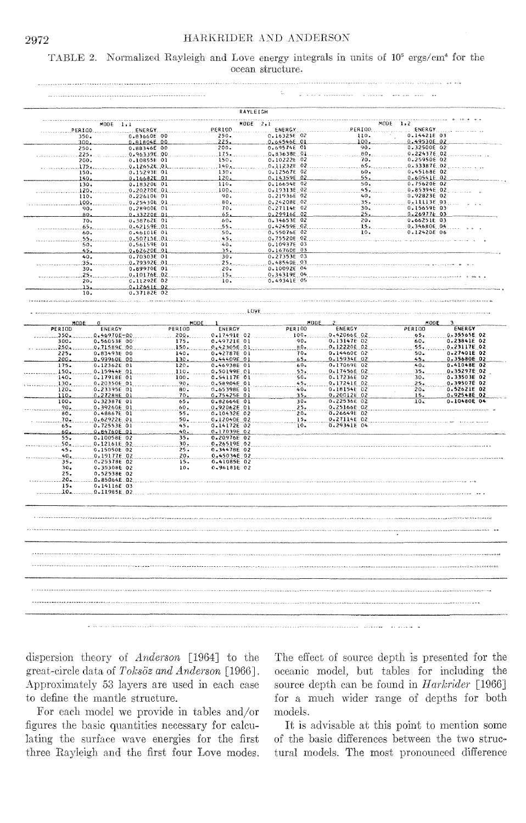## HARKRIDER AND ANDERSON

### TABLE 2. Normalized Rayleigh and Love energy integrals in units of  $10^5$  ergs/cm<sup>4</sup> for the ocean structure.

|                        |                                            |               |                            | RAYLEIGH                     |                            |                            |                            |
|------------------------|--------------------------------------------|---------------|----------------------------|------------------------------|----------------------------|----------------------------|----------------------------|
|                        | MODE 1,1                                   |               |                            | MODE 2,1                     |                            | MODE 1,2                   |                            |
| PERIOD.                | ENERGY.                                    |               | <b>ER100</b><br>250.       | <b>ENERGY</b><br>0.16325E 02 | ERIOD.<br>110.             | ENERGY.<br>0.14421E 03     |                            |
| 350.<br>300.           | 0.83660E 00<br>0.81804E 00                 |               | 225.                       | 0.64546E 01                  | 100.                       | 0.49530E 02                |                            |
| 250.                   | 0.88346E 00                                |               | 200.                       | 0.69574E 01                  | 90.                        | 0.32500E 02                |                            |
| 225.                   | 0.96339E.00                                |               | 1.75.                      | 0.83638E.01                  | 80,                        | 0.22437E.02                |                            |
| 200.<br>175.           | 0.10855E 01<br>0.126526.01                 |               | 150.<br>140.               | 0.10222E 02<br>0.11232E 02   | 70.<br>65.                 | 0.25950E 02<br>0.33387E 02 |                            |
| 150.                   | 0.15293E 01                                |               | 130.                       | 0.12567E 02                  | 60.                        | 0.45168E 02                |                            |
| 140.                   | 0.16682E 01<br>0.18320E 01                 |               | 120.                       | 0.14359E 02                  | 55.<br>50.                 | 0.60541E 02<br>0.75620E 02 |                            |
| 130.<br>120.           | 0.202706.01                                |               | 110.<br>100.               | 0.16654E 02<br>0.19313E 02   | 45.                        | 0.85394E 02                |                            |
| 110.                   | 0.22610E 01                                |               | 90.                        | 0.21936E 02                  | 40.                        | 0.92823E 02                |                            |
| 100.                   | 0.254306.01                                |               | 80.                        | 0.24208E 02                  | 35.<br>30.                 | 0.11113E 03                |                            |
|                        | 90.<br>0.28900E 01<br>$80-$<br>0.33220E 01 |               | 70.<br>65.                 | 0.27114E 02<br>0.29916E 02   | $25 -$                     | 0.15659E 03<br>0.269776.03 |                            |
|                        | 0.38762E 01<br>70.                         |               | 60.                        | $0.34653E$ 02                | 20.                        | 0.66251E 03                |                            |
|                        | 0.42159E 01<br>65.                         |               | 55.                        | 0.42459E 02                  | 15,                        | 0.34680E.04                |                            |
|                        | 0.46101E 01<br>60.<br>0.50715E.01<br>55,   |               | 50.<br>45.                 | 0.55076E 02<br>0.75520E 02   | 10.                        | 0.12420E 06                |                            |
|                        | 50.<br>0.561596 01                         |               | 40.                        | 0.10937E 03                  |                            |                            |                            |
|                        | 0.62620E 01<br>45.                         |               | 35.                        | 0.16760E 03                  |                            |                            |                            |
|                        | 0.70303E 01<br>40.<br>0.793926.01<br>35.   |               | 30.<br>$25 -$              | 0.27353E 03<br>0.48540E 03   |                            |                            |                            |
|                        | $30 -$<br>0.89970E 01                      |               | 20.                        | 0.10092E 04                  |                            |                            |                            |
|                        | 0.10176E 02<br>25.                         |               | 15.                        | 0.34319E 04                  |                            |                            |                            |
|                        | C.11292E 02<br>20.<br>0.12641E 02<br>15.   |               | 10.                        | 0.493416 05                  |                            |                            |                            |
|                        | 10.<br>0.37182E 02                         |               |                            |                              |                            |                            |                            |
|                        |                                            |               |                            |                              |                            |                            |                            |
|                        |                                            |               |                            | LOVE                         |                            |                            |                            |
| MODE                   | $\Omega$                                   |               | MODE                       | MODE                         | $\overline{z}$             | MODE.                      | 3                          |
| PERIOD                 | ENERGY                                     | <b>PERIOD</b> | ENERGY                     | <b>PERIOD</b>                | ENERGY                     | PERIOD                     | ENERGY                     |
| 350<br>$300 -$         | 0.46970E-00<br>0.56053E 00                 | 200.<br>175.  | 0.17491E 02<br>0.49721E 01 | 100.<br>90.                  | 0.42066E 02<br>0.13147E 02 | 65.<br>$60 -$              | 0.35565E 02<br>0.23841E 02 |
| 250.                   | 0,71589E 00                                | 150.          | 0.42305E 01                | $80 -$                       | 0.12220E 02                | 55,                        | 0.23117E 02                |
| 225.                   | 0.83493E 00                                | 140.          | 0.42787E 01                | 70.                          | 0.14460E 02                | 50.                        | 0.27401E 02                |
| 200.                   | 0.99960E 00                                | 130.          | 0.44409E01                 | 65.                          | 0.15934E 02                | 45.                        | 0.35680E 02                |
| 175.<br>150.           | 0.12362E 01<br>0.15944E 01                 | 120.<br>110.  | 0.46938E 01<br>0.50199E 01 | $60 -$<br>55.                | 0.17069E 02<br>0.17456E 02 | 40.5<br>35.                | 0.41048E 02<br>0.35297E 02 |
| 140.                   | 0.17918E 01                                | 100.          | 0.54117E 01                | $50 -$                       | 0.17236E 02                | 30.                        | 0.33503E 02                |
| 130.                   | 0.20350E 01                                | 90.           | 0.58904E 01                | 45.                          | 0.17241E 02                | 25.                        | 0.39507E 02                |
| 120.<br>110.           | 0.23395E 01<br>0.27288E 01                 | 80.<br>70.    | 0.65398E 01<br>0.75425E 01 | 40.<br>35,                   | 0.18154E 02<br>0.20012E 02 | $20 -$<br>15.              | 0.52621E 02<br>0.92548E 02 |
| 100.                   | 0.32387E 01                                | 65.           | 0.82664E 01                | $30 -$                       | 0.22536E 02                | 10.                        | 0.10480E 04                |
| $90 -$                 | 0.39260E 01                                | $60 -$        | 0.92062E 01                | 25.                          | 0.25166E 02                |                            |                            |
| 80.<br>70.1            | 0.48867E 01<br>0.62922E 01                 | 55.<br>50.    | 0.10432E 02<br>0.12040E 02 | 20.<br>15.                   | 0.26649E 02<br>0.27114E 02 |                            |                            |
| 65.                    | 0.72553E 01                                | 45.           | 0.14172E 02                | 10.                          | 0.29341E 04                |                            |                            |
| 60.                    | 0.84760E 01                                | 40,           | 0.17039E 02                |                              |                            |                            |                            |
| 55.<br>.50.            | 0.10058E 02<br>$0.12161E_02$               | 35.<br>30,    | 0.20976E 02<br>0.26519E 02 |                              |                            |                            |                            |
| 45.                    | 0.15050E 02                                | 25.           | 0.34478E 02                |                              |                            |                            |                            |
| 40.1                   | 0.19177E 02                                | $20 -$        | 0.45034E 02                |                              |                            |                            |                            |
| 35.<br>30.             | 0.253786 02<br>0.35308E 02                 | 15.<br>10.    | 0.41085E 02<br>0.96181E 02 |                              |                            |                            |                            |
| 25.                    | 0.525386 02                                |               |                            |                              |                            |                            |                            |
| $20 -$                 | 0.85064E.02                                |               |                            |                              |                            |                            |                            |
| 15.<br>10 <sub>1</sub> | 0.14116E 03<br>0.11985E.02                 |               |                            |                              |                            |                            |                            |
|                        |                                            |               |                            |                              |                            |                            |                            |
|                        |                                            |               |                            |                              |                            |                            |                            |
|                        |                                            |               |                            |                              |                            |                            |                            |
|                        |                                            |               |                            |                              |                            |                            |                            |
|                        |                                            |               |                            |                              |                            |                            |                            |
|                        |                                            |               |                            |                              |                            |                            |                            |
|                        |                                            |               |                            |                              |                            |                            |                            |
|                        |                                            |               |                            |                              |                            |                            |                            |
|                        |                                            |               |                            |                              |                            |                            |                            |
|                        |                                            |               |                            |                              |                            |                            |                            |
|                        |                                            |               |                            |                              |                            |                            |                            |
|                        |                                            |               |                            |                              |                            |                            |                            |
|                        |                                            |               |                            |                              |                            |                            |                            |
|                        |                                            |               |                            |                              |                            |                            |                            |

dispersion theory of Anderson [1964] to the great-circle data of Toksöz and Anderson [1966]. Approximately 53 layers are used in each case to define the mantle structure.

For each model we provide in tables and/or figures the basic quantities necessary for calculating the surface wave energies for the first three Rayleigh and the first four Love modes. The effect of source depth is presented for the oceanic model, but tables for including the source depth can be found in *Harkrider* [1966] for a much wider range of depths for both models.

It is advisable at this point to mention some of the basic differences between the two structural models. The most pronounced difference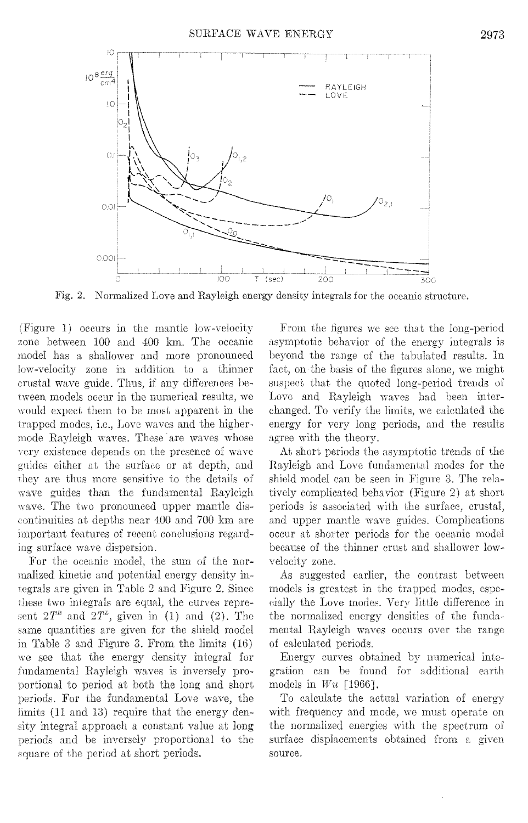

Normalized Love and Rayleigh energy density integrals for the oceanic structure. Fig.  $2.$ 

(Figure 1) occurs in the mantle low-velocity zone between 100 and 400 km. The oceanic model has a shallower and more pronounced low-velocity zone in addition to a thinner crustal wave guide. Thus, if any differences between models occur in the numerical results, we would expect them to be most apparent in the trapped modes, i.e., Love waves and the highermode Rayleigh waves. These are waves whose very existence depends on the presence of wave guides either at the surface or at depth, and they are thus more sensitive to the details of wave guides than the fundamental Rayleigh wave. The two pronounced upper mantle discontinuities at depths near 400 and 700 km are important features of recent conclusions regarding surface wave dispersion.

For the oceanic model, the sum of the normalized kinetic and potential energy density integrals are given in Table 2 and Figure 2. Since these two integrals are equal, the curves represent  $2T^k$  and  $2T^k$ , given in (1) and (2). The same quantities are given for the shield model in Table 3 and Figure 3. From the limits (16) we see that the energy density integral for fundamental Rayleigh waves is inversely proportional to period at both the long and short periods. For the fundamental Love wave, the limits (11 and 13) require that the energy density integral approach a constant value at long periods and be inversely proportional to the square of the period at short periods.

From the figures we see that the long-period asymptotic behavior of the energy integrals is beyond the range of the tabulated results. In fact, on the basis of the figures alone, we might suspect that the quoted long-period trends of Love and Rayleigh waves had been interchanged. To verify the limits, we calculated the energy for very long periods, and the results agree with the theory.

At short periods the asymptotic trends of the Rayleigh and Love fundamental modes for the shield model can be seen in Figure 3. The relatively complicated behavior (Figure 2) at short periods is associated with the surface, crustal, and upper mantle wave guides. Complications occur at shorter periods for the oceanic model because of the thinner crust and shallower lowvelocity zone.

As suggested earlier, the contrast between models is greatest in the trapped modes, especially the Love modes. Very little difference in the normalized energy densities of the fundamental Rayleigh waves occurs over the range of calculated periods.

Energy curves obtained by numerical integration can be found for additional earth models in  $Wu$  [1966].

To calculate the actual variation of energy with frequency and mode, we must operate on the normalized energies with the spectrum of surface displacements obtained from a given source.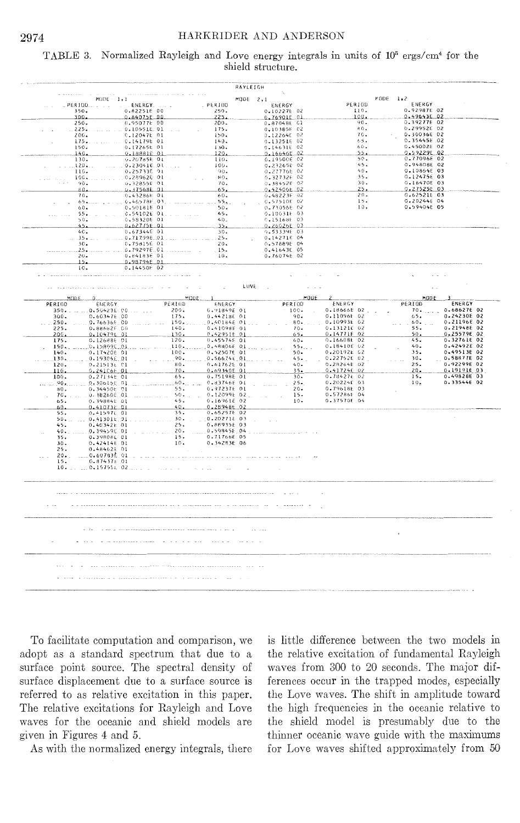### TABLE 3. Normalized Rayleigh and Love energy integrals in units of 10<sup>5</sup> ergs/cm<sup>4</sup> for the shield structure.

|                                               |                            |                                    | RAYLEIGH                     |                            |                                             |
|-----------------------------------------------|----------------------------|------------------------------------|------------------------------|----------------------------|---------------------------------------------|
| $MODE - 1.1$                                  |                            |                                    | MODE 2,1                     |                            | $FGDE = 1.2$                                |
| PER100                                        | . ENERGY.                  | PERIOD                             | ENERGY                       | PERIOD.                    | ENERGY                                      |
| 350.<br>300.                                  | 0.82251E 00<br>0.84075E.00 | 250.<br>225.                       | 0.10227E 02<br>0.76901E 01   | 110.<br>100.               | 0.92987E 02<br>0.49643E 02                  |
| 250.                                          | 0.95077E 00                | 200.                               | 0.87048E C1                  | 90.                        | 0.39277E 02                                 |
| $.225-.$                                      | 0.10551E.01                | 175.                               | 0,10385E 02                  | 80.                        | 0.29952E 02                                 |
| 200.                                          | 0.120476.01                | 150.                               | 0.12264E 02                  | 70.                        | 0.30036E 02                                 |
| 175<br>150.                                   | . 0.14179E 01              | 140.                               | 0.13251602                   | 65.<br>60.                 | 0.35445E 02<br>0.45002E 02                  |
| 140.                                          | 0.17265t 01<br>0.18881E 01 | 130.<br>$120 -$                    | $0.14631E$ 02<br>0.16646E.02 | 55.                        | 0.592296.02                                 |
| 130.                                          | 0.20785E 01                | 110.                               | 0.19500E 02                  | 50.                        | 0.77996E 02                                 |
| 120                                           | .0.230416.01               | $100 -$                            | 0.232656 02                  | 45.                        | 0.94808E 02                                 |
| 110.                                          | 0.25733E 01                | 90.                                | 0.27776E 02                  | 40.<br>$35 -$              | $0.10864E$ 03<br>0.12475E 03                |
| 100.<br>90.                                   | 0,28962601<br>0.32855E 01  | $H0+$<br>70.                       | 0.327326.02<br>0.38452E 07   | $30 -$                     | $0.16470E$ 03                               |
| 80.                                           | L.37568E 01                | $65 -$                             | 0.42406E.02                  | $25 -$                     | 0.275256 03                                 |
| 70.                                           | 0.43286E 01                | 60.                                | 0.48223F.02                  | $20 -$                     | 0.62521E 03                                 |
| 65                                            | 0.46578E.03                | 55.1                               | 0.57510E 02                  | 15.<br>10.                 | 0.20244604<br>0.59404E 05                   |
| 60.<br>55.                                    | 0.501818 01<br>0.54102601  | $50 -$<br>45.                      | 0.73056602<br>0.10031E 03    |                            |                                             |
| $50-$                                         | 0.58320E 01                | 40 <sub>z</sub>                    | 0.15168E 03                  |                            |                                             |
| 45.                                           | 0.62775E.01                | حكف                                | 0.26026E 03                  |                            |                                             |
| 40.                                           | 0.67344E.01                | 30.                                | 9.53339E 03                  |                            |                                             |
| $35 -$<br>30.                                 | 0.717996.01<br>0.75815E 01 | $25 -$<br>$\mathbb{R}^2$<br>$20 -$ | 0.14271E 04<br>0.57889E 04   |                            |                                             |
| 25.                                           | .0.79297E.01               | $15 -$                             | 0.41643E 05                  |                            |                                             |
| $20 -$                                        | 0.84183601                 | 10.                                | 0.76074E 02                  |                            |                                             |
| 15.                                           | 0.98794E 01                |                                    |                              |                            |                                             |
| iC.                                           | 0.14450E 02                |                                    |                              |                            |                                             |
|                                               |                            |                                    |                              |                            |                                             |
|                                               |                            |                                    | LUVE<br>$\sim$ $\sim$        |                            | $\sim$                                      |
|                                               |                            |                                    |                              |                            |                                             |
| MODE<br>PERIOD<br>ENERGY                      | PERIOD                     | $MODE$ 1<br>ENERGY                 | MODE<br>PERIOD               | $\mathbf{z}$<br>ENERGY     | MODE<br>ENERGY<br>PERIOD                    |
| 0.50423E.00<br>350.                           | 200.                       | G.91849E 01                        | $-100$ .                     | 0.18666E 02                | 0.68627E 02<br>70.                          |
| 300.<br>0.60347600                            | 175.                       | 0.442186.01                        | $90 -$                       | 0.11096602                 | 0.24230E 02<br>65.                          |
| 0.766366.00<br>.250                           | 150.                       | 0,40184E 01.                       | $80-.$                       | 0.10993E 02                | 0.21196E 02<br>.60.                         |
| 225.<br>0.88682E 00                           | 140.                       | 0.41098E 01<br>0.42951601          | $10-$                        | 0.131216 02<br>0.14771E 02 | 55.<br>0.21948E 02<br>0.255796 02<br>50.    |
| $200 -$<br>0.104791 01<br>0.126886 01<br>175. | 130.<br>120.               | 0.45574E 01                        | 65.<br>60.                   | 0.166086 02                | 0.32761E 02<br>45.                          |
| 0.15809E 01<br>150.                           | 110.                       | 0.48806E 01                        | 55.                          | 0.18410E 02                | 0.42492E 02<br>40.                          |
| 0.17420601<br>140.                            | 100.                       | 0.525076 01                        | $50 -$                       | 0.20192E 02                | 0.49513E 02<br>35.                          |
| 0.19304E.01<br>130.<br>120.                   | 1.90.<br>80.               | 0.566746.01.<br>0.61762E 01        | $45 - $<br>40.               | 0.22752E 02<br>0.28264E 02 | 0.58877E 02<br>$30 -$<br>0.92299E 02<br>25. |
| $0.21513t$ $01$<br>0.241C6E.01<br>116.        | $70 -$                     | 0.69340E 01                        | $35 -$                       | 0.41724602                 | 0.19191603<br>$20 -$                        |
| 0.27134t 01<br>$100 -$                        | 65.                        | 0.75198E 01                        | $30 -$                       | 0.78427t 02                | 0.498286 03<br>15.                          |
| 0.30615E.01<br>1.90                           | $.60$ + $.50$ $.50$        | 0.83746E 01                        | $25 -$                       | 0.20224f 03                | 0.33544E 02<br>10.                          |
| 0.34450E 01<br>80.                            | 55.<br>50.1                | 0.972376.01                        | $20 -$                       | 0.79618E 03<br>0.572861 04 |                                             |
| 0.38260E.01<br>$70.$ .<br>0.39884E 01<br>65.  | 45.                        | 0.12099E 02<br>0.16961E 02         | 15.<br>$10 -$                | 0.37570E 04                |                                             |
| 0.41073E.01<br>$60 -$                         | 40.                        | 0.28948602                         |                              |                            |                                             |
| 0.41597001<br>55.                             | 35.                        | 0.65257E 02                        |                              |                            |                                             |
| 50.<br>.0.413016.91                           | $\therefore$ 30.           | 0.20271E 03                        |                              |                            |                                             |
| 0.40342t 01<br>45.<br>0.39459E.01<br>40.      | 25.<br>$20-$               | 0.88935E 03<br>0.598458 04         |                              |                            |                                             |
| 0.39808E 01<br>35.                            | 15.                        | 0.71766E 05                        |                              |                            |                                             |
| 0.42414601<br>$30-$                           | 10.                        | 0.34283E 06                        |                              |                            |                                             |
| 0.48462E 01<br>25.                            |                            |                                    |                              |                            |                                             |
| 0.60783È.01<br>20<br>$0.87437t$ 01<br>15.     |                            |                                    |                              |                            |                                             |
| 0.157551 02<br>10.                            |                            |                                    |                              |                            |                                             |
|                                               |                            |                                    |                              |                            |                                             |
|                                               |                            |                                    |                              |                            |                                             |
|                                               |                            |                                    |                              |                            |                                             |
|                                               |                            |                                    |                              |                            |                                             |
|                                               |                            |                                    |                              |                            |                                             |
|                                               |                            |                                    |                              |                            |                                             |
|                                               |                            |                                    |                              |                            |                                             |
|                                               |                            |                                    |                              |                            |                                             |
|                                               |                            |                                    |                              |                            | ٠                                           |
|                                               |                            |                                    |                              |                            |                                             |
|                                               |                            |                                    |                              |                            |                                             |
|                                               |                            |                                    |                              |                            |                                             |
|                                               |                            |                                    |                              |                            |                                             |
|                                               |                            |                                    |                              |                            |                                             |
|                                               |                            |                                    |                              |                            |                                             |
|                                               |                            |                                    |                              |                            |                                             |
|                                               |                            |                                    |                              |                            |                                             |

To facilitate computation and comparison, we adopt as a standard spectrum that due to a surface point source. The spectral density of surface displacement due to a surface source is referred to as relative excitation in this paper. The relative excitations for Rayleigh and Love waves for the oceanic and shield models are given in Figures 4 and 5.

As with the normalized energy integrals, there

is little difference between the two models in the relative excitation of fundamental Rayleigh waves from 300 to 20 seconds. The major differences occur in the trapped modes, especially the Love waves. The shift in amplitude toward the high frequencies in the oceanic relative to the shield model is presumably due to the thinner oceanic wave guide with the maximums for Love waves shifted approximately from 50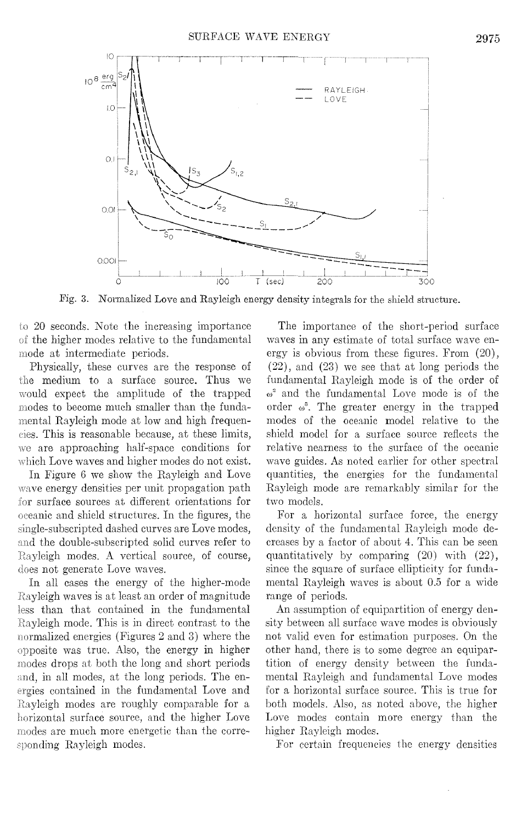

Fig. 3. Normalized Love and Rayleigh energy density integrals for the shield structure.

20 seconds. Note the increasing importance of the higher modes relative to the fundamental mode at intermediate periods.

Physically, these curves are the response of the medium to a surface source. Thus we would expect the amplitude of the trapped modes to become much smaller than the fundumental Rayleigh mode at low and high frequencies. This is reasonable because, at these limits, are approaching half-space conditions for which Love waves and higher modes do not exist.

In Figure 6 we show the Rayleigh and Love wave energy densities per unit propagation path for surface sources at different orientations for oceanic and shield structures. In the figures, the single-subscripted dashed curves are Love modes, and the double-subscripted solid curves refer to Rayleigh modes. A vertical source, of course, does not generate Love waves.

In all cases the energy of the higher-mode Rayleigh waves is at least an order of magnitude than that contained in the fundamental Rayleigh mode. This is in direct contrast to the normalized energies (Figures 2 and 3) where the opposite was true. Also, the energy in higher modes drops at both the long and short periods and, in all modes, at the long periods. The encontained in the fundamental Love and Rayleigh modes are roughly comparable for a horizontal surface source, and the higher Love modes are much more energetic than the corresponding Rayleigh modes.

The importance of the short-period surface waves in any estimate of total surface wave energy is obvious from these figures. From (20),  $(22)$ , and  $(23)$  we see that at long periods the fundamental Rayleigh mode is of the order of  $\omega^2$  and the fundamental Love mode is of the order  $\omega^3$ . The greater energy in the trapped modes of the oceanic model relative to the shield model for a surface source reflects the relative nearness to the surface of the oceanic wave guides. As noted earlier for other spectral quantities, the energies for the fundamental Rayleigh mode are remarkably similar for the two models.

For a horizontal surface force, the energy density of the fundamental Rayleigh mode decreases by a factor of about 4. This can be seen quantitatively by comparing (20) with (22), since the square of surface ellipticity for fundamental Rayleigh waves is about 0.5 for a wide range of periods.

An assumption of equipartition of energy density between all surface wave modes is obviously not valid even for estimation purposes. On the other hand, there is to some degree an equipartition of energy density between the fundamental Rayleigh and fundamental Love modes for a horizontal surface source. This is true for both models. Also, as noted above, the higher Love modes contain more energy than the higher Rayleigh modes.

For certain frequencies the energy densities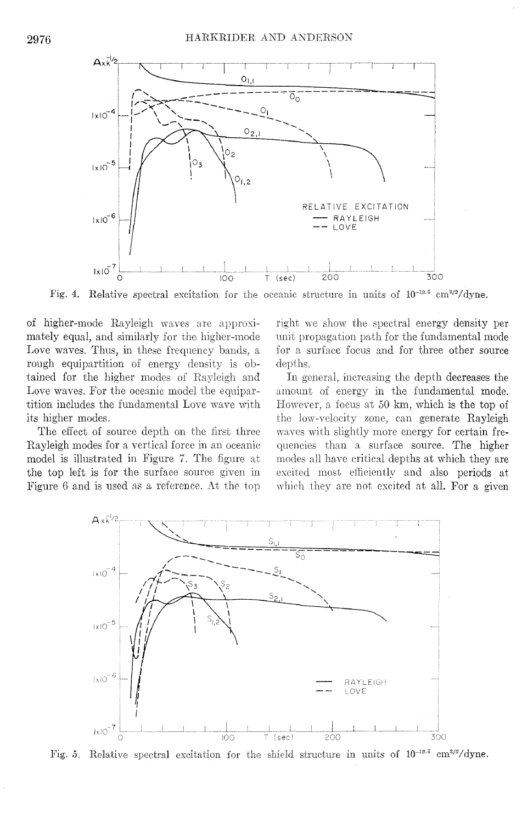

Fig. 4. Relative spectral excitation for the oceanic structure in units of  $10^{-12.5}$  cm<sup>3/2</sup>/dyne.

of higher-mode Rayleigh waves are approximately equal, and similarly for the higher-mode Love waves. Thus, in these frequency bands, a rough equipartition of energy density is obtained for the higher modes of Rayleigh and Love waves. For the oceanic model the equipartition includes the fundamental Love wave with its higher modes.

The effect of source depth on the first three Rayleigh modes for a vertical force in an oceanic model is illustrated in Figure 7. The figure the top left is for the surface source given in Figure 6 and is used as a reference. At the top

right we show the spectral energy density per unit propagation path for the fundamental mode for a surface focus and for three other source depths.

amount of energy in the fundamental mode. However, a focus at 50 km, which is the top of the low-velocity zone, can generate Rayleigh In general, increasing the depth decreases the waves with slightly more energy for certain frequencies than a surface source. The higher modes all have critical depths at which they are excited most efficiently and also periods at which they are not excited at all. For a given



Fig. 5. Relative spectral excitation for the shield structure in units of  $10^{-12.5}$  cm<sup>3/2</sup>/dyne.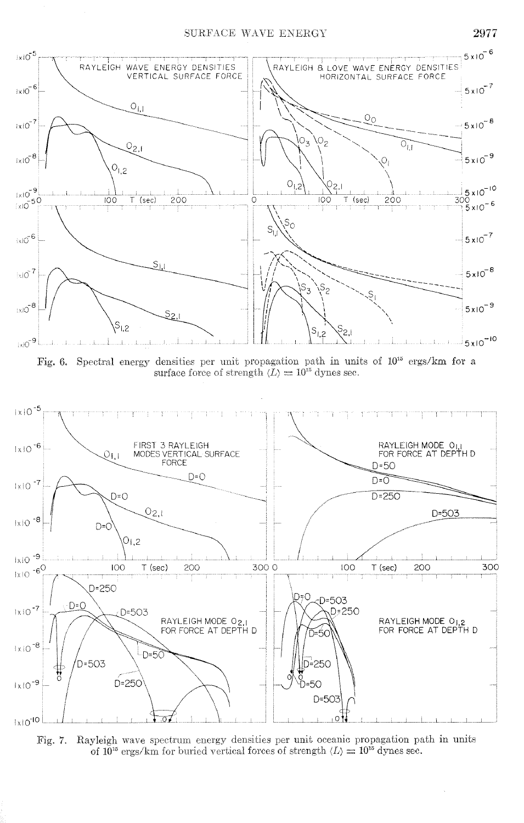

Fig. 6. Spectral energy densities per unit propagation path in units of  $10^{15}$  ergs/km for a surface force of strength  $\langle L \rangle = 10^{15}$  dynes sec.



Rayleigh wave spectrum energy densities per unit oceanic propagation path in units Fig. 7. of  $10^{15}$  ergs/km for buried vertical forces of strength  $\langle L \rangle = 10^{15}$  dynes sec.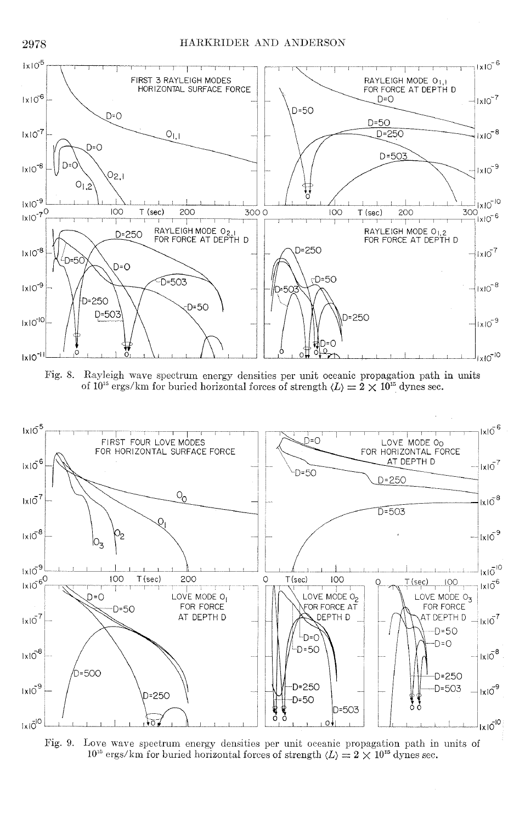

Fig. 8. Rayleigh wave spectrum energy densities per unit oceanic propagation path in units of  $10^{15}$  ergs/km for buried horizontal forces of strength  $\langle L \rangle = 2 \times 10^{15}$  dynes sec.



Fig. 9. Love wave spectrum energy densities per unit oceanic propagation path in units of  $10^{15}$  ergs/km for buried horizontal forces of strength  $\langle L \rangle = 2 \times 10^{15}$  dynes sec.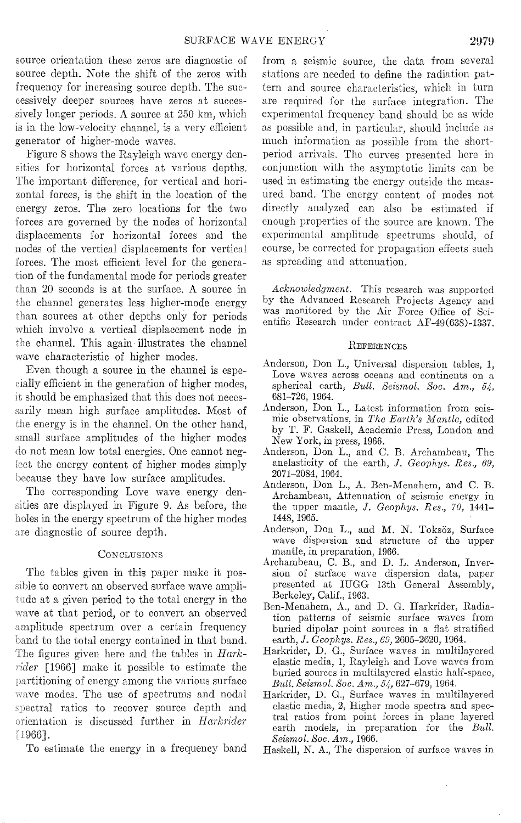source orientation these zeros are diagnostic of source depth. Note the shift of the zeros with frequency for increasing source depth. The successively deeper sources have zeros at successively longer periods. A source at 250 km, which is in the low-velocity channel, is a very efficient generator of higher-mode waves.

Figure 8 shows the Rayleigh wave energy densities for horizontal forces at various depths. The important difference, for vertical and horizontal forces, is the shift in the location of the energy zeros. The zero locations for the two forces are governed by the nodes of horizontal displacements for horizontal forces and the nodes of the vertical displacements for vertical forces. The most efficient level for the generation of the fundamental mode for periods greater than 20 seconds is at the surface. A source in the channel generates less higher-mode energy than sources at other depths only for periods which involve a vertical displacement node in the channel. This again illustrates the channel wave characteristic of higher modes.

Even though a source in the channel is especially efficient in the generation of higher modes, should be emphasized that this does not necessarily mean high surface amplitudes. Most of the energy is in the channel. On the other hand, small surface amplitudes of the higher modes do not mean low total energies. One cannot neglect the energy content of higher modes simply because they have low surface amplitudes.

The corresponding Love wave energy den sities are displayed in Figure 9. As before, the holes in the energy spectrum of the higher modes are diagnostic of source depth.

### **CONCLUSIONS**

The tables given in this paper make it possible to convert an observed surface wave ampli- 'ude at a given period to the total energy in the wave at that period, or to convert an observed amplitude spectrum over a certain frequency hand to the total energy contained in that band. figures given here and the tables in *Hark-*  $\textit{rider}$  [1966] make it possible to estimate the partitioning of energy among the various surface wave modes. The use of spectrums and nodal spectral ratios to recover source depth and urientation is discussed further in *Harkrider*  :1966].

To estimate the energy in a frequency band

from a seismic source, the data from several stations are needed to define the radiation pattern and source charncteristics, which in turn are required for the surface integration. The experimental frequency band should be as wide as possible and, in particular, should include as much information as possible from the shortperiod arrivals. The curyes presented here in conjunction with the asymptotic limits can be used in estimating the energy outside the measured band. The energy content of modes not directly analyzed can also be estimated if enough properties of the source are known. The experimental amplitude spectrums should, of course, be corrected for propagation effects such as spreading and attenuation.

*Acknowledgment.* This research was supported by the Advanced Research Projects Agency and was monitored by the Air Force Office of Scientific Research under contract AF-49(638)-1337.

#### **REFERENCES**

- Anderson, Don L., Universal dispersion tables, 1, Love waves across oceans and continents on a spherical earth, *Bull. Seismol. Soc. Am., 54.* 681-726, 1964.
- Anderson, Don L., Latest information from seismic observations, in *The Earth's Mantle,* edited by T. F. Gaskell, Academic Press, London and New York, in press, 1966.
- Anderson, Don L., and C. B. Archambeau, The anelasticity of the earth, *J. Geophys. Res., 69*, 2071-2084, 1964.
- Anderson, Don L., A. Ben-Menahem, and C. B. Archambeau, Attenuation of seismic energy in the upper mantle, J. *Geaphys. Res., 70,* 1441- 1448, 1965.
- Anderson, Don L., and M. N. Toksöz, Surface wave dispersion and structure of the upper mantle, in preparation, 1966.
- Archambeau, C. B., and D. L. Anderson, Inversion of surface wave dispersion data, paper presented at IUGG 13th General Assembly, Berkeley, Calif., 1963.
- Ben-Menahem, A., and D. G. Harkrider, Radiation patterns of seismic surface waves from buried dipolar point sources in a flat stratified earth, J. *Geophys. Res., 69,* 2605-2620, 1964.
- Harkrider, D. G., Surface waves in multilayered elastic media, 1, Rayleigh and Love waves from buried sources in multilayered elastic half-space, *Bull. Seismal. Soc. Arn., 54,* 627-679, 1964.
- Harkrider, D. G., Surface waves in multilayered elastic modia, 2, Higher modo spectra and spectral ratios from point forces in plane layered earth models, in preparation for the *Bull. Seismal. Soc. Arn.,* 1966.
- Haskell, N. A., The disporsion of surface waves in

 $\bar{z}$